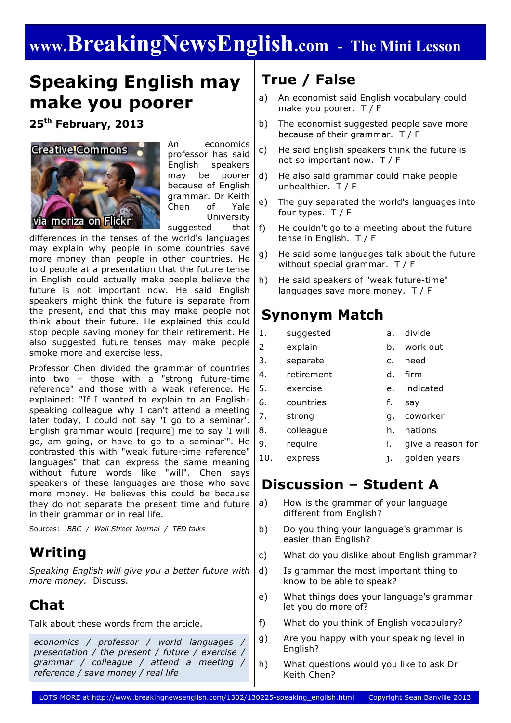# **www.BreakingNewsEnglish.com - The Mini Lesson**

### **Speaking English may make you poorer**

**25th February, 2013**



An economics professor has said English speakers may be poorer because of English grammar. Dr Keith Chen of Yale University suggested that

differences in the tenses of the world's languages may explain why people in some countries save more money than people in other countries. He told people at a presentation that the future tense in English could actually make people believe the future is not important now. He said English speakers might think the future is separate from the present, and that this may make people not think about their future. He explained this could stop people saving money for their retirement. He also suggested future tenses may make people smoke more and exercise less.

Professor Chen divided the grammar of countries into two – those with a "strong future-time reference" and those with a weak reference. He explained: "If I wanted to explain to an Englishspeaking colleague why I can't attend a meeting later today, I could not say 'I go to a seminar'. English grammar would [require] me to say 'I will go, am going, or have to go to a seminar'". He contrasted this with "weak future-time reference" languages" that can express the same meaning without future words like "will". Chen says speakers of these languages are those who save more money. He believes this could be because they do not separate the present time and future in their grammar or in real life.

Sources: *BBC / Wall Street Journal / TED talks*

### **Writing**

*Speaking English will give you a better future with more money.* Discuss.

### **Chat**

Talk about these words from the article.

*economics / professor / world languages / presentation / the present / future / exercise / grammar / colleague / attend a meeting / reference / save money / real life*

### **True / False**

- a) An economist said English vocabulary could make you poorer. T / F
- b) The economist suggested people save more because of their grammar. T / F
- c) He said English speakers think the future is not so important now. T / F
- d) He also said grammar could make people unhealthier. T / F
- e) The guy separated the world's languages into four types. T / F
- f) He couldn't go to a meeting about the future tense in English. T / F
- g) He said some languages talk about the future without special grammar. T / F
- h) He said speakers of "weak future-time" languages save more money. T / F

#### **Synonym Match**

- 1. suggested a. divide
	-
- 2 explain b. work out
- 3. separate c. need
- 4. retirement d. firm
	-
- 5. exercise e. indicated
	-
- 6. countries f. say
- 7. strong g. coworker
- 8. colleague h. nations
- 9. require i. give a reason for
- 10. express j. golden years

### **Discussion – Student A**

- a) How is the grammar of your language different from English?
- b) Do you thing your language's grammar is easier than English?
- c) What do you dislike about English grammar?
- d) Is grammar the most important thing to know to be able to speak?
- e) What things does your language's grammar let you do more of?
- f) What do you think of English vocabulary?
- g) Are you happy with your speaking level in English?
- h) What questions would you like to ask Dr Keith Chen?